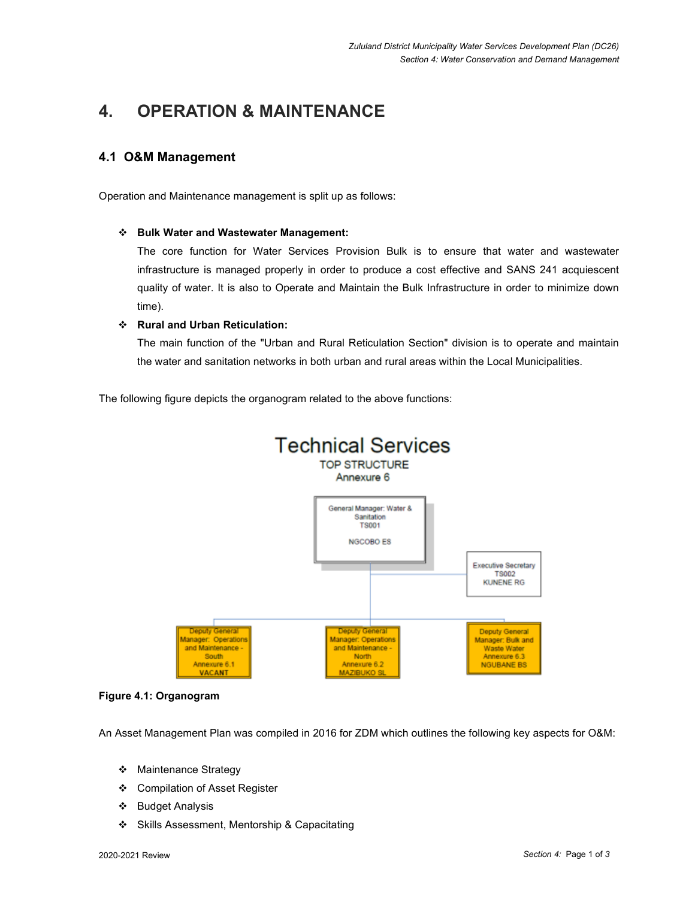# **4. OPERATION & MAINTENANCE**

## **4.1 O&M Management**

Operation and Maintenance management is split up as follows:

#### **Bulk Water and Wastewater Management:**

The core function for Water Services Provision Bulk is to ensure that water and wastewater infrastructure is managed properly in order to produce a cost effective and SANS 241 acquiescent quality of water. It is also to Operate and Maintain the Bulk Infrastructure in order to minimize down time).

### **Rural and Urban Reticulation:**

The main function of the "Urban and Rural Reticulation Section" division is to operate and maintain the water and sanitation networks in both urban and rural areas within the Local Municipalities.

The following figure depicts the organogram related to the above functions:



#### **Figure 4.1: Organogram**

An Asset Management Plan was compiled in 2016 for ZDM which outlines the following key aspects for O&M:

- ❖ Maintenance Strategy
- Compilation of Asset Register
- ❖ Budget Analysis
- Skills Assessment, Mentorship & Capacitating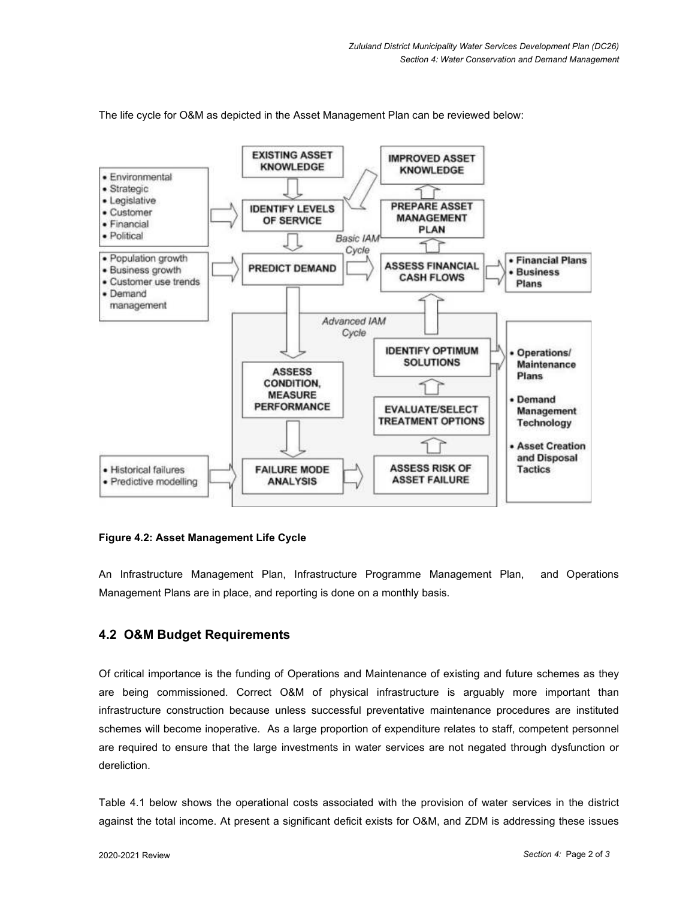

The life cycle for O&M as depicted in the Asset Management Plan can be reviewed below:

#### **Figure 4.2: Asset Management Life Cycle**

An Infrastructure Management Plan, Infrastructure Programme Management Plan, and Operations Management Plans are in place, and reporting is done on a monthly basis.

## **4.2 O&M Budget Requirements**

Of critical importance is the funding of Operations and Maintenance of existing and future schemes as they are being commissioned. Correct O&M of physical infrastructure is arguably more important than infrastructure construction because unless successful preventative maintenance procedures are instituted schemes will become inoperative. As a large proportion of expenditure relates to staff, competent personnel are required to ensure that the large investments in water services are not negated through dysfunction or dereliction.

Table 4.1 below shows the operational costs associated with the provision of water services in the district against the total income. At present a significant deficit exists for O&M, and ZDM is addressing these issues